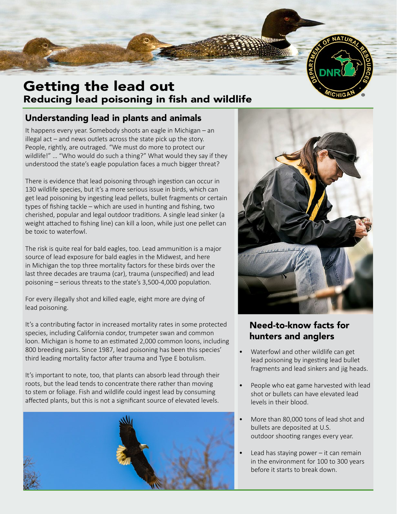

# Getting the lead out Reducing lead poisoning in fish and wildlife

#### Understanding lead in plants and animals

It happens every year. Somebody shoots an eagle in Michigan – an illegal act – and news outlets across the state pick up the story. People, rightly, are outraged. "We must do more to protect our wildlife!" … "Who would do such a thing?" What would they say if they understood the state's eagle population faces a much bigger threat?

There is evidence that lead poisoning through ingestion can occur in 130 wildlife species, but it's a more serious issue in birds, which can get lead poisoning by ingesting lead pellets, bullet fragments or certain types of fishing tackle – which are used in hunting and fishing, two cherished, popular and legal outdoor traditions. A single lead sinker (a weight attached to fishing line) can kill a loon, while just one pellet can be toxic to waterfowl.

The risk is quite real for bald eagles, too. Lead ammunition is a major source of lead exposure for bald eagles in the Midwest, and here in Michigan the top three mortality factors for these birds over the last three decades are trauma (car), trauma (unspecified) and lead poisoning – serious threats to the state's 3,500-4,000 population.

For every illegally shot and killed eagle, eight more are dying of lead poisoning.

It's a contributing factor in increased mortality rates in some protected species, including California condor, trumpeter swan and common loon. Michigan is home to an estimated 2,000 common loons, including 800 breeding pairs. Since 1987, lead poisoning has been this species' third leading mortality factor after trauma and Type E botulism.

It's important to note, too, that plants can absorb lead through their roots, but the lead tends to concentrate there rather than moving to stem or foliage. Fish and wildlife could ingest lead by consuming affected plants, but this is not a significant source of elevated levels.





## Need-to-know facts for hunters and anglers

- Waterfowl and other wildlife can get lead poisoning by ingesting lead bullet fragments and lead sinkers and jig heads.
- People who eat game harvested with lead shot or bullets can have elevated lead levels in their blood.
- More than 80,000 tons of lead shot and bullets are deposited at U.S. outdoor shooting ranges every year.
- Lead has staying power  $-$  it can remain in the environment for 100 to 300 years before it starts to break down.